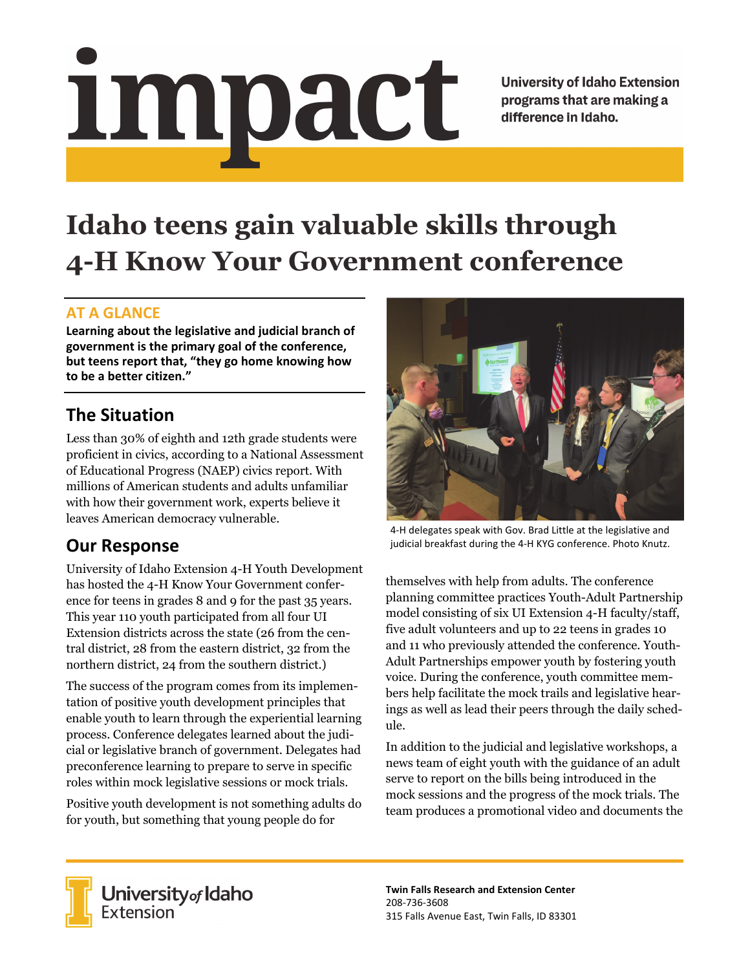# Impact

**University of Idaho Extension** programs that are making a difference in Idaho.

# **Idaho teens gain valuable skills through 4-H Know Your Government conference**

#### **AT A GLANCE**

**Learning about the legislative and judicial branch of government is the primary goal of the conference, but teens report that, "they go home knowing how to be a better citizen."**

# **The Situation**

Less than 30% of eighth and 12th grade students were proficient in civics, according to a National Assessment of Educational Progress (NAEP) civics report. With millions of American students and adults unfamiliar with how their government work, experts believe it leaves American democracy vulnerable.

## **Our Response**

University of Idaho Extension 4-H Youth Development has hosted the 4-H Know Your Government conference for teens in grades 8 and 9 for the past 35 years. This year 110 youth participated from all four UI Extension districts across the state (26 from the central district, 28 from the eastern district, 32 from the northern district, 24 from the southern district.)

The success of the program comes from its implementation of positive youth development principles that enable youth to learn through the experiential learning process. Conference delegates learned about the judicial or legislative branch of government. Delegates had preconference learning to prepare to serve in specific roles within mock legislative sessions or mock trials.

Positive youth development is not something adults do for youth, but something that young people do for



4‐H delegates speak with Gov. Brad Little at the legislative and judicial breakfast during the 4‐H KYG conference. Photo Knutz.

themselves with help from adults. The conference planning committee practices Youth-Adult Partnership model consisting of six UI Extension 4-H faculty/staff, five adult volunteers and up to 22 teens in grades 10 and 11 who previously attended the conference. Youth-Adult Partnerships empower youth by fostering youth voice. During the conference, youth committee members help facilitate the mock trails and legislative hearings as well as lead their peers through the daily schedule.

In addition to the judicial and legislative workshops, a news team of eight youth with the guidance of an adult serve to report on the bills being introduced in the mock sessions and the progress of the mock trials. The team produces a promotional video and documents the



**University** of Idaho<br>Extension

**Twin Falls Research and Extension Center** 208‐736‐3608 315 Falls Avenue East, Twin Falls, ID 83301